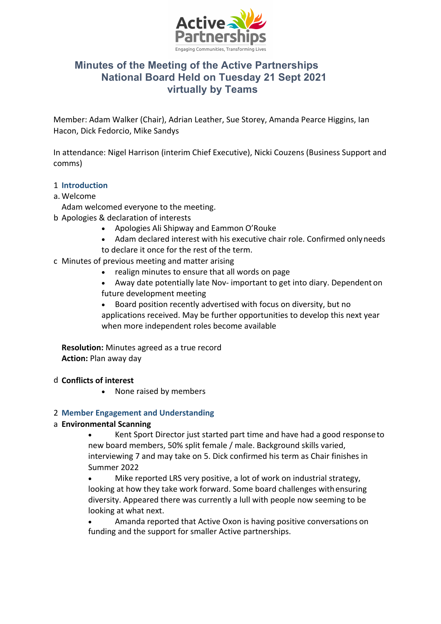

# **Minutes of the Meeting of the Active Partnerships National Board Held on Tuesday 21 Sept 2021 virtually by Teams**

Member: Adam Walker (Chair), Adrian Leather, Sue Storey, Amanda Pearce Higgins, Ian Hacon, Dick Fedorcio, Mike Sandys

In attendance: Nigel Harrison (interim Chief Executive), Nicki Couzens (Business Support and comms)

# 1 **Introduction**

- a. Welcome
- Adam welcomed everyone to the meeting.
- b Apologies & declaration of interests
	- Apologies Ali Shipway and Eammon O'Rouke
	- Adam declared interest with his executive chair role. Confirmed onlyneeds to declare it once for the rest of the term.
- c Minutes of previous meeting and matter arising
	- realign minutes to ensure that all words on page
	- Away date potentially late Nov- important to get into diary. Dependent on future development meeting
	- Board position recently advertised with focus on diversity, but no applications received. May be further opportunities to develop this next year when more independent roles become available

**Resolution:** Minutes agreed as a true record **Action:** Plan away day

# d **Conflicts of interest**

• None raised by members

# 2 **Member Engagement and Understanding**

# a **Environmental Scanning**

• Kent Sport Director just started part time and have had a good responseto new board members, 50% split female / male. Background skills varied, interviewing 7 and may take on 5. Dick confirmed his term as Chair finishes in Summer 2022

• Mike reported LRS very positive, a lot of work on industrial strategy, looking at how they take work forward. Some board challenges withensuring diversity. Appeared there was currently a lull with people now seeming to be looking at what next.

• Amanda reported that Active Oxon is having positive conversations on funding and the support for smaller Active partnerships.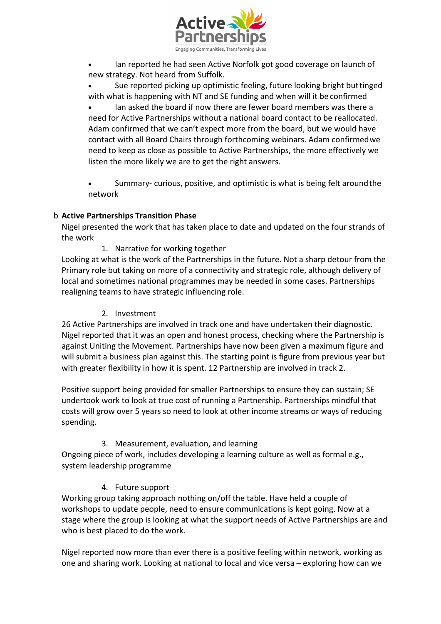

• Ian reported he had seen Active Norfolk got good coverage on launch of new strategy. Not heard from Suffolk.

• Sue reported picking up optimistic feeling, future looking bright buttinged with what is happening with NT and SE funding and when will it be confirmed

• Ian asked the board if now there are fewer board members was there a need for Active Partnerships without a national board contact to be reallocated. Adam confirmed that we can't expect more from the board, but we would have contact with all Board Chairs through forthcoming webinars. Adam confirmedwe need to keep as close as possible to Active Partnerships, the more effectively we listen the more likely we are to get the right answers.

Summary- curious, positive, and optimistic is what is being felt around the network

# b **Active Partnerships Transition Phase**

Nigel presented the work that has taken place to date and updated on the four strands of the work

1. Narrative for working together

Looking at what is the work of the Partnerships in the future. Not a sharp detour from the Primary role but taking on more of a connectivity and strategic role, although delivery of local and sometimes national programmes may be needed in some cases. Partnerships realigning teams to have strategic influencing role.

#### 2. Investment

26 Active Partnerships are involved in track one and have undertaken their diagnostic. Nigel reported that it was an open and honest process, checking where the Partnership is against Uniting the Movement. Partnerships have now been given a maximum figure and will submit a business plan against this. The starting point is figure from previous year but with greater flexibility in how it is spent. 12 Partnership are involved in track 2.

Positive support being provided for smaller Partnerships to ensure they can sustain; SE undertook work to look at true cost of running a Partnership. Partnerships mindful that costs will grow over 5 years so need to look at other income streams or ways of reducing spending.

# 3. Measurement, evaluation, and learning

Ongoing piece of work, includes developing a learning culture as well as formal e.g., system leadership programme

# 4. Future support

Working group taking approach nothing on/off the table. Have held a couple of workshops to update people, need to ensure communications is kept going. Now at a stage where the group is looking at what the support needs of Active Partnerships are and who is best placed to do the work.

Nigel reported now more than ever there is a positive feeling within network, working as one and sharing work. Looking at national to local and vice versa – exploring how can we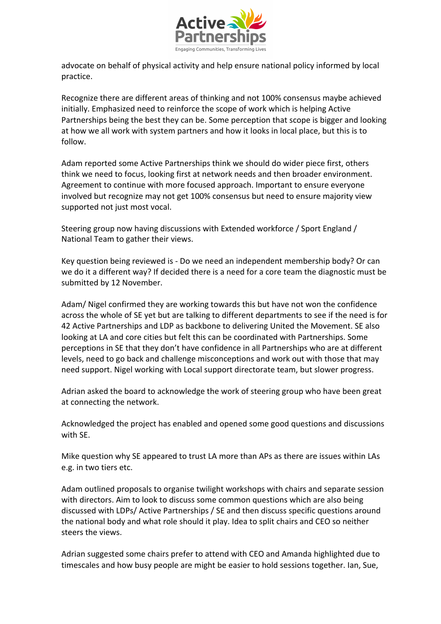

advocate on behalf of physical activity and help ensure national policy informed by local practice.

Recognize there are different areas of thinking and not 100% consensus maybe achieved initially. Emphasized need to reinforce the scope of work which is helping Active Partnerships being the best they can be. Some perception that scope is bigger and looking at how we all work with system partners and how it looks in local place, but this is to follow.

Adam reported some Active Partnerships think we should do wider piece first, others think we need to focus, looking first at network needs and then broader environment. Agreement to continue with more focused approach. Important to ensure everyone involved but recognize may not get 100% consensus but need to ensure majority view supported not just most vocal.

Steering group now having discussions with Extended workforce / Sport England / National Team to gather their views.

Key question being reviewed is - Do we need an independent membership body? Or can we do it a different way? If decided there is a need for a core team the diagnostic must be submitted by 12 November.

Adam/ Nigel confirmed they are working towards this but have not won the confidence across the whole of SE yet but are talking to different departments to see if the need is for 42 Active Partnerships and LDP as backbone to delivering United the Movement. SE also looking at LA and core cities but felt this can be coordinated with Partnerships. Some perceptions in SE that they don't have confidence in all Partnerships who are at different levels, need to go back and challenge misconceptions and work out with those that may need support. Nigel working with Local support directorate team, but slower progress.

Adrian asked the board to acknowledge the work of steering group who have been great at connecting the network.

Acknowledged the project has enabled and opened some good questions and discussions with SE.

Mike question why SE appeared to trust LA more than APs as there are issues within LAs e.g. in two tiers etc.

Adam outlined proposals to organise twilight workshops with chairs and separate session with directors. Aim to look to discuss some common questions which are also being discussed with LDPs/ Active Partnerships / SE and then discuss specific questions around the national body and what role should it play. Idea to split chairs and CEO so neither steers the views.

Adrian suggested some chairs prefer to attend with CEO and Amanda highlighted due to timescales and how busy people are might be easier to hold sessions together. Ian, Sue,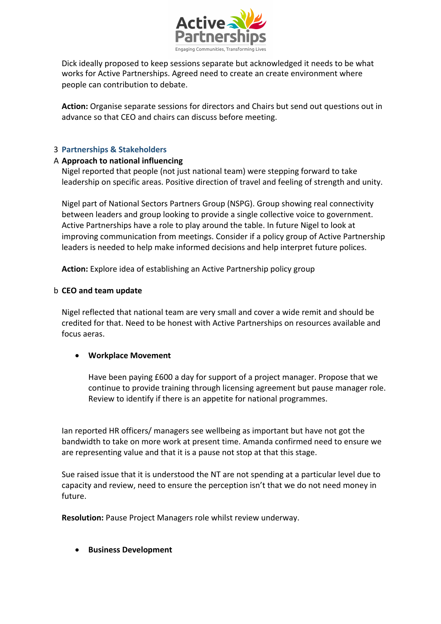

Dick ideally proposed to keep sessions separate but acknowledged it needs to be what works for Active Partnerships. Agreed need to create an create environment where people can contribution to debate.

**Action:** Organise separate sessions for directors and Chairs but send out questions out in advance so that CEO and chairs can discuss before meeting.

## 3 **Partnerships & Stakeholders**

#### A **Approach to national influencing**

Nigel reported that people (not just national team) were stepping forward to take leadership on specific areas. Positive direction of travel and feeling of strength and unity.

Nigel part of National Sectors Partners Group (NSPG). Group showing real connectivity between leaders and group looking to provide a single collective voice to government. Active Partnerships have a role to play around the table. In future Nigel to look at improving communication from meetings. Consider if a policy group of Active Partnership leaders is needed to help make informed decisions and help interpret future polices.

**Action:** Explore idea of establishing an Active Partnership policy group

#### b **CEO and team update**

Nigel reflected that national team are very small and cover a wide remit and should be credited for that. Need to be honest with Active Partnerships on resources available and focus aeras.

#### • **Workplace Movement**

Have been paying £600 a day for support of a project manager. Propose that we continue to provide training through licensing agreement but pause manager role. Review to identify if there is an appetite for national programmes.

Ian reported HR officers/ managers see wellbeing as important but have not got the bandwidth to take on more work at present time. Amanda confirmed need to ensure we are representing value and that it is a pause not stop at that this stage.

Sue raised issue that it is understood the NT are not spending at a particular level due to capacity and review, need to ensure the perception isn't that we do not need money in future.

**Resolution:** Pause Project Managers role whilst review underway.

• **Business Development**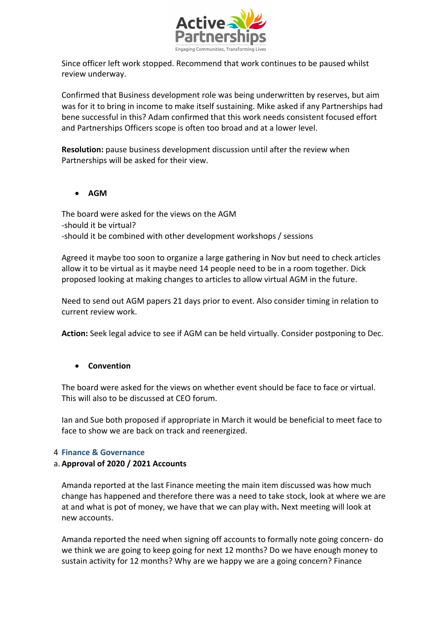

Since officer left work stopped. Recommend that work continues to be paused whilst review underway.

Confirmed that Business development role was being underwritten by reserves, but aim was for it to bring in income to make itself sustaining. Mike asked if any Partnerships had bene successful in this? Adam confirmed that this work needs consistent focused effort and Partnerships Officers scope is often too broad and at a lower level.

**Resolution:** pause business development discussion until after the review when Partnerships will be asked for their view.

• **AGM**

The board were asked for the views on the AGM -should it be virtual? -should it be combined with other development workshops / sessions

Agreed it maybe too soon to organize a large gathering in Nov but need to check articles allow it to be virtual as it maybe need 14 people need to be in a room together. Dick proposed looking at making changes to articles to allow virtual AGM in the future.

Need to send out AGM papers 21 days prior to event. Also consider timing in relation to current review work.

**Action:** Seek legal advice to see if AGM can be held virtually. Consider postponing to Dec.

# • **Convention**

The board were asked for the views on whether event should be face to face or virtual. This will also to be discussed at CEO forum.

Ian and Sue both proposed if appropriate in March it would be beneficial to meet face to face to show we are back on track and reenergized.

#### 4 **Finance & Governance**

#### a.**Approval of 2020 / 2021 Accounts**

Amanda reported at the last Finance meeting the main item discussed was how much change has happened and therefore there was a need to take stock, look at where we are at and what is pot of money, we have that we can play with**.** Next meeting will look at new accounts.

Amanda reported the need when signing off accounts to formally note going concern- do we think we are going to keep going for next 12 months? Do we have enough money to sustain activity for 12 months? Why are we happy we are a going concern? Finance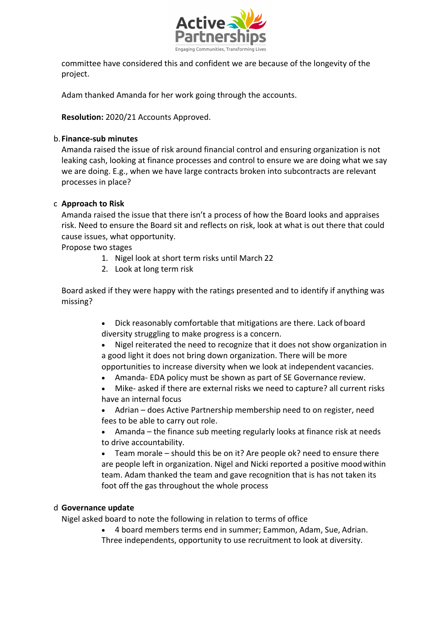

committee have considered this and confident we are because of the longevity of the project.

Adam thanked Amanda for her work going through the accounts.

**Resolution:** 2020/21 Accounts Approved.

#### b.**Finance-sub minutes**

Amanda raised the issue of risk around financial control and ensuring organization is not leaking cash, looking at finance processes and control to ensure we are doing what we say we are doing. E.g., when we have large contracts broken into subcontracts are relevant processes in place?

## c **Approach to Risk**

Amanda raised the issue that there isn't a process of how the Board looks and appraises risk. Need to ensure the Board sit and reflects on risk, look at what is out there that could cause issues, what opportunity.

Propose two stages

- 1. Nigel look at short term risks until March 22
- 2. Look at long term risk

Board asked if they were happy with the ratings presented and to identify if anything was missing?

- Dick reasonably comfortable that mitigations are there. Lack of board diversity struggling to make progress is a concern.
- Nigel reiterated the need to recognize that it does not show organization in a good light it does not bring down organization. There will be more opportunities to increase diversity when we look at independent vacancies.
- Amanda- EDA policy must be shown as part of SE Governance review.
- Mike- asked if there are external risks we need to capture? all current risks have an internal focus

• Adrian – does Active Partnership membership need to on register, need fees to be able to carry out role.

• Amanda – the finance sub meeting regularly looks at finance risk at needs to drive accountability.

• Team morale – should this be on it? Are people ok? need to ensure there are people left in organization. Nigel and Nicki reported a positive moodwithin team. Adam thanked the team and gave recognition that is has not taken its foot off the gas throughout the whole process

#### d **Governance update**

Nigel asked board to note the following in relation to terms of office

• 4 board members terms end in summer; Eammon, Adam, Sue, Adrian. Three independents, opportunity to use recruitment to look at diversity.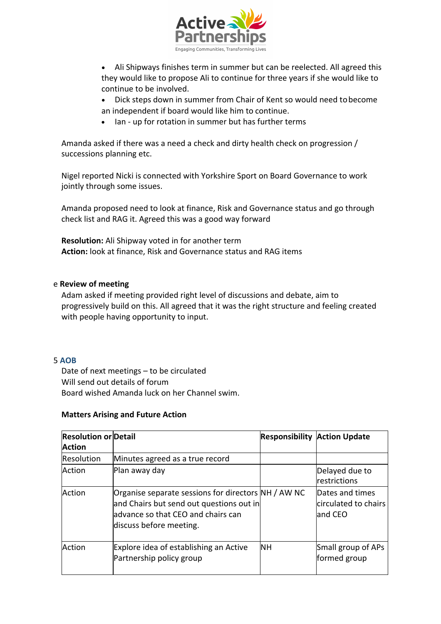

- Ali Shipways finishes term in summer but can be reelected. All agreed this they would like to propose Ali to continue for three years if she would like to continue to be involved.
- Dick steps down in summer from Chair of Kent so would need tobecome an independent if board would like him to continue.
- Ian up for rotation in summer but has further terms

Amanda asked if there was a need a check and dirty health check on progression / successions planning etc.

Nigel reported Nicki is connected with Yorkshire Sport on Board Governance to work jointly through some issues.

Amanda proposed need to look at finance, Risk and Governance status and go through check list and RAG it. Agreed this was a good way forward

**Resolution:** Ali Shipway voted in for another term **Action:** look at finance, Risk and Governance status and RAG items

#### e **Review of meeting**

Adam asked if meeting provided right level of discussions and debate, aim to progressively build on this. All agreed that it was the right structure and feeling created with people having opportunity to input.

#### 5 **AOB**

Date of next meetings – to be circulated Will send out details of forum Board wished Amanda luck on her Channel swim.

#### **Matters Arising and Future Action**

| <b>Resolution or Detail</b><br><b>Action</b> |                                                                                                                                                                   |           | <b>Responsibility Action Update</b>                 |
|----------------------------------------------|-------------------------------------------------------------------------------------------------------------------------------------------------------------------|-----------|-----------------------------------------------------|
| <b>Resolution</b>                            | Minutes agreed as a true record                                                                                                                                   |           |                                                     |
| Action                                       | Plan away day                                                                                                                                                     |           | Delayed due to<br><b>restrictions</b>               |
| Action                                       | Organise separate sessions for directors NH / AW NC<br>and Chairs but send out questions out in<br>ladvance so that CEO and chairs can<br>discuss before meeting. |           | Dates and times<br>circulated to chairs<br>land CEO |
| Action                                       | Explore idea of establishing an Active<br>Partnership policy group                                                                                                | <b>NH</b> | Small group of APs<br>formed group                  |